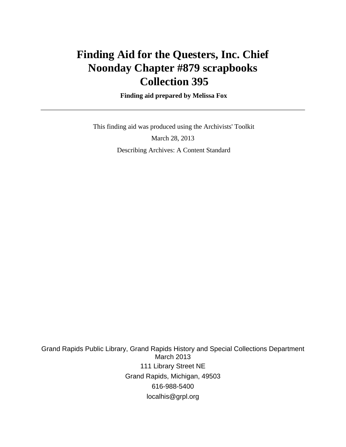# **Finding Aid for the Questers, Inc. Chief Noonday Chapter #879 scrapbooks Collection 395**

 **Finding aid prepared by Melissa Fox**

 This finding aid was produced using the Archivists' Toolkit March 28, 2013 Describing Archives: A Content Standard

Grand Rapids Public Library, Grand Rapids History and Special Collections Department March 2013 111 Library Street NE Grand Rapids, Michigan, 49503 616-988-5400 localhis@grpl.org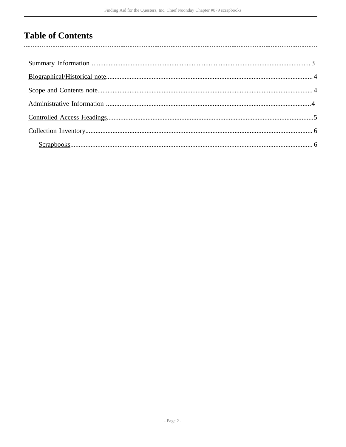## **Table of Contents**

l,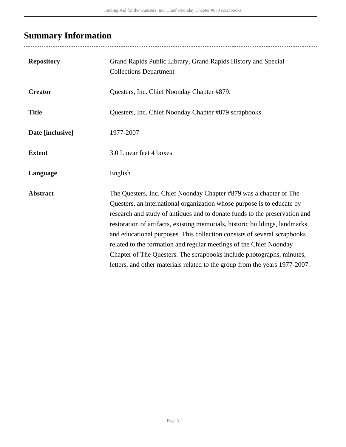# <span id="page-2-0"></span>**Summary Information**

| <b>Repository</b> | Grand Rapids Public Library, Grand Rapids History and Special<br><b>Collections Department</b>                                                                                                                                                                                                                                                                                                                                                                                                                                                                                                                       |
|-------------------|----------------------------------------------------------------------------------------------------------------------------------------------------------------------------------------------------------------------------------------------------------------------------------------------------------------------------------------------------------------------------------------------------------------------------------------------------------------------------------------------------------------------------------------------------------------------------------------------------------------------|
| <b>Creator</b>    | Questers, Inc. Chief Noonday Chapter #879.                                                                                                                                                                                                                                                                                                                                                                                                                                                                                                                                                                           |
| <b>Title</b>      | Questers, Inc. Chief Noonday Chapter #879 scrapbooks                                                                                                                                                                                                                                                                                                                                                                                                                                                                                                                                                                 |
| Date [inclusive]  | 1977-2007                                                                                                                                                                                                                                                                                                                                                                                                                                                                                                                                                                                                            |
| <b>Extent</b>     | 3.0 Linear feet 4 boxes                                                                                                                                                                                                                                                                                                                                                                                                                                                                                                                                                                                              |
| Language          | English                                                                                                                                                                                                                                                                                                                                                                                                                                                                                                                                                                                                              |
| <b>Abstract</b>   | The Questers, Inc. Chief Noonday Chapter #879 was a chapter of The<br>Questers, an international organization whose purpose is to educate by<br>research and study of antiques and to donate funds to the preservation and<br>restoration of artifacts, existing memorials, historic buildings, landmarks,<br>and educational purposes. This collection consists of several scrapbooks<br>related to the formation and regular meetings of the Chief Noonday<br>Chapter of The Questers. The scrapbooks include photographs, minutes,<br>letters, and other materials related to the group from the years 1977-2007. |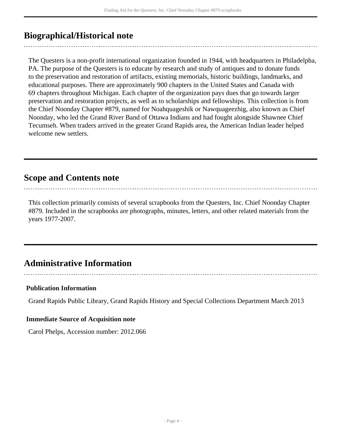### <span id="page-3-0"></span>**Biographical/Historical note**

The Questers is a non-profit international organization founded in 1944, with headquarters in Philadelpha, PA. The purpose of the Questers is to educate by research and study of antiques and to donate funds to the preservation and restoration of artifacts, existing memorials, historic buildings, landmarks, and educational purposes. There are approximately 900 chapters in the United States and Canada with 69 chapters throughout Michigan. Each chapter of the organization pays dues that go towards larger preservation and restoration projects, as well as to scholarships and fellowships. This collection is from the Chief Noonday Chapter #879, named for Noahquageshik or Nawquageezhig, also known as Chief Noonday, who led the Grand River Band of Ottawa Indians and had fought alongside Shawnee Chief Tecumseh. When traders arrived in the greater Grand Rapids area, the American Indian leader helped welcome new settlers.

### <span id="page-3-1"></span>**Scope and Contents note**

This collection primarily consists of several scrapbooks from the Questers, Inc. Chief Noonday Chapter #879. Included in the scrapbooks are photographs, minutes, letters, and other related materials from the years 1977-2007.

### <span id="page-3-2"></span>**Administrative Information**

#### **Publication Information**

Grand Rapids Public Library, Grand Rapids History and Special Collections Department March 2013

#### **Immediate Source of Acquisition note**

Carol Phelps, Accession number: 2012.066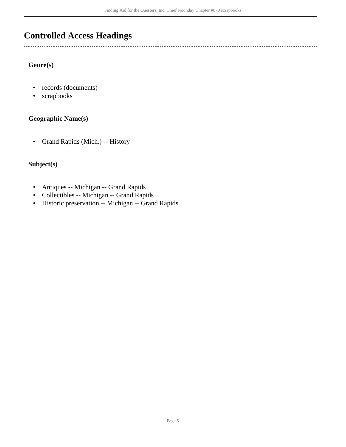### <span id="page-4-0"></span>**Controlled Access Headings**

#### **Genre(s)**

- records (documents)
- scrapbooks

#### **Geographic Name(s)**

• Grand Rapids (Mich.) -- History

#### **Subject(s)**

- Antiques -- Michigan -- Grand Rapids
- Collectibles -- Michigan -- Grand Rapids
- Historic preservation -- Michigan -- Grand Rapids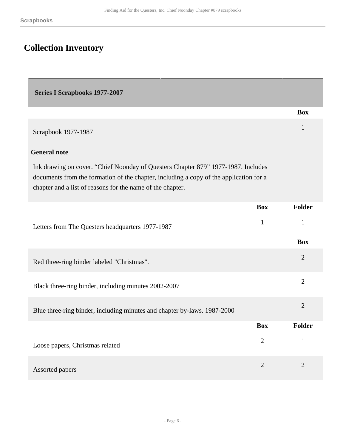## <span id="page-5-0"></span>**Collection Inventory**

<span id="page-5-1"></span>

| <b>Series I Scrapbooks 1977-2007</b> |  |
|--------------------------------------|--|
|--------------------------------------|--|

|                                                                                                                                                                                                                                           |                | <b>Box</b>     |
|-------------------------------------------------------------------------------------------------------------------------------------------------------------------------------------------------------------------------------------------|----------------|----------------|
| Scrapbook 1977-1987                                                                                                                                                                                                                       |                | 1              |
| <b>General note</b>                                                                                                                                                                                                                       |                |                |
| Ink drawing on cover. "Chief Noonday of Questers Chapter 879" 1977-1987. Includes<br>documents from the formation of the chapter, including a copy of the application for a<br>chapter and a list of reasons for the name of the chapter. |                |                |
|                                                                                                                                                                                                                                           | <b>Box</b>     | Folder         |
| Letters from The Questers headquarters 1977-1987                                                                                                                                                                                          | $\mathbf{1}$   | $\mathbf{1}$   |
|                                                                                                                                                                                                                                           |                | <b>Box</b>     |
| Red three-ring binder labeled "Christmas".                                                                                                                                                                                                |                | $\overline{2}$ |
| Black three-ring binder, including minutes 2002-2007                                                                                                                                                                                      |                | $\overline{2}$ |
| Blue three-ring binder, including minutes and chapter by-laws. 1987-2000                                                                                                                                                                  |                | $\overline{2}$ |
|                                                                                                                                                                                                                                           | <b>Box</b>     | <b>Folder</b>  |
| Loose papers, Christmas related                                                                                                                                                                                                           | $\overline{2}$ | $\mathbf{1}$   |
| Assorted papers                                                                                                                                                                                                                           | $\overline{2}$ | $\overline{2}$ |